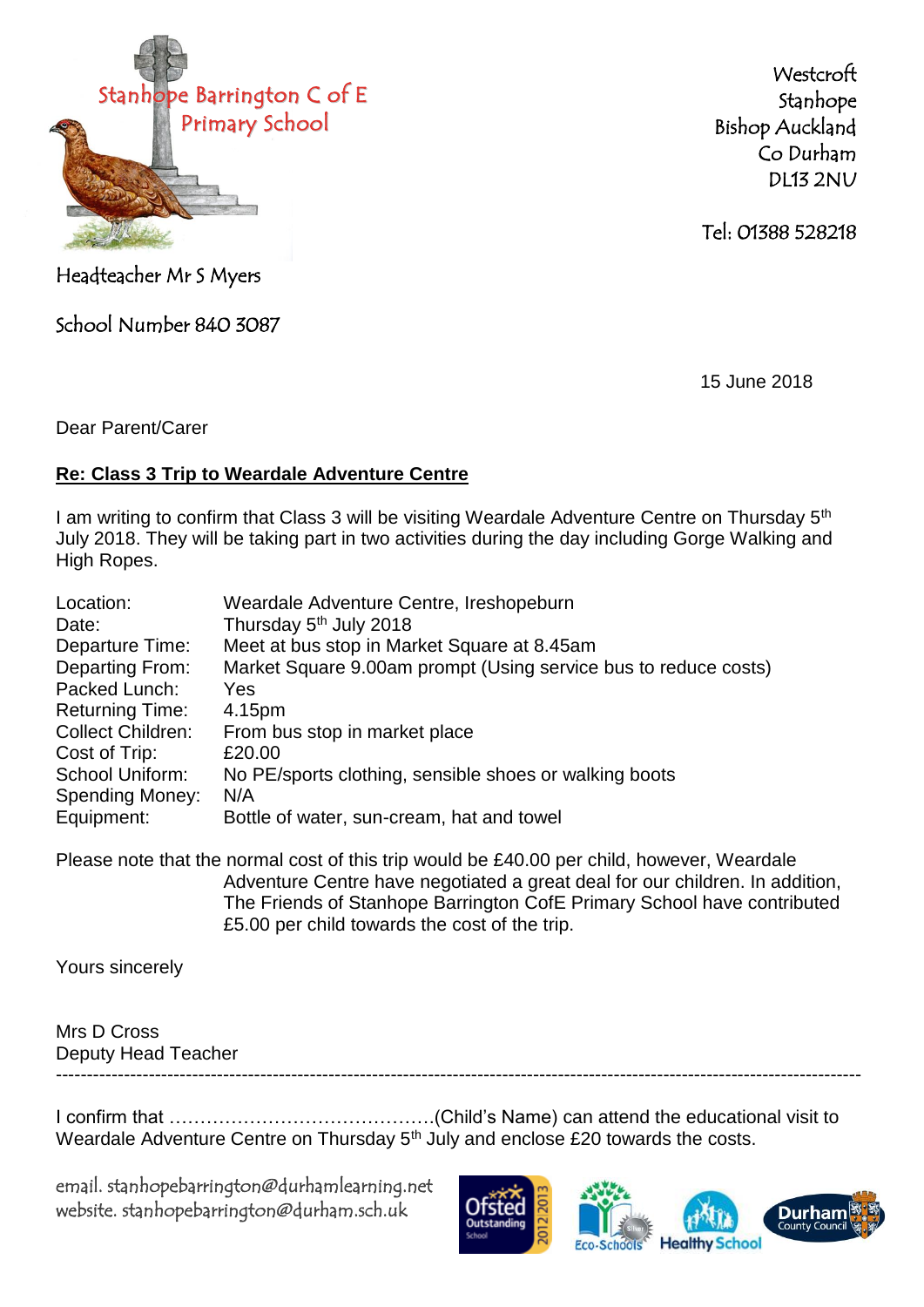

**Westcroft** Stanhope Bishop Auckland Co Durham DL13 2NU

Tel: 01388 528218

Headteacher Mr S Myers

School Number 840 3087

15 June 2018

Dear Parent/Carer

## **Re: Class 3 Trip to Weardale Adventure Centre**

I am writing to confirm that Class 3 will be visiting Weardale Adventure Centre on Thursday 5<sup>th</sup> July 2018. They will be taking part in two activities during the day including Gorge Walking and High Ropes.

| Location:                | Weardale Adventure Centre, Ireshopeburn                         |
|--------------------------|-----------------------------------------------------------------|
| Date:                    | Thursday 5 <sup>th</sup> July 2018                              |
| Departure Time:          | Meet at bus stop in Market Square at 8.45am                     |
| Departing From:          | Market Square 9.00am prompt (Using service bus to reduce costs) |
| Packed Lunch:            | Yes                                                             |
| <b>Returning Time:</b>   | 4.15pm                                                          |
| <b>Collect Children:</b> | From bus stop in market place                                   |
| Cost of Trip:            | £20.00                                                          |
| School Uniform:          | No PE/sports clothing, sensible shoes or walking boots          |
| <b>Spending Money:</b>   | N/A                                                             |
| Equipment:               | Bottle of water, sun-cream, hat and towel                       |

Please note that the normal cost of this trip would be £40.00 per child, however, Weardale Adventure Centre have negotiated a great deal for our children. In addition, The Friends of Stanhope Barrington CofE Primary School have contributed £5.00 per child towards the cost of the trip.

Yours sincerely

## Mrs D Cross Deputy Head Teacher ----------------------------------------------------------------------------------------------------------------------------------

I confirm that …………………………………….(Child's Name) can attend the educational visit to Weardale Adventure Centre on Thursday 5<sup>th</sup> July and enclose £20 towards the costs.

email. stanhopebarrington@durhamlearning.net website. stanhopebarrington@durham.sch.uk